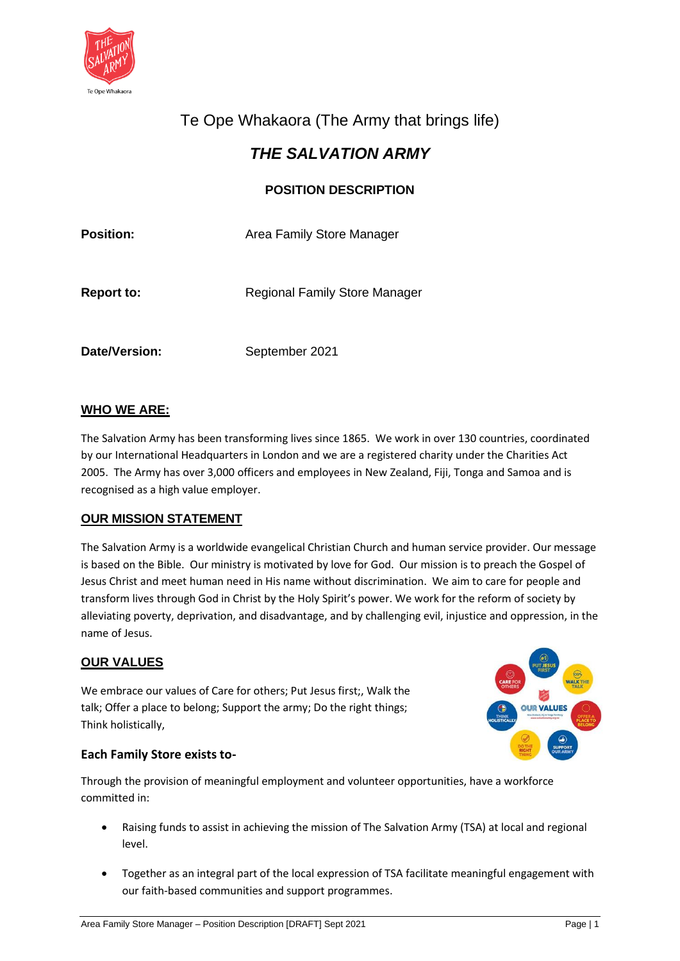

# Te Ope Whakaora (The Army that brings life)

## *THE SALVATION ARMY*

## **POSITION DESCRIPTION**

| <b>Position:</b>  | Area Family Store Manager            |
|-------------------|--------------------------------------|
| <b>Report to:</b> | <b>Regional Family Store Manager</b> |
| Date/Version:     | September 2021                       |

## **WHO WE ARE:**

The Salvation Army has been transforming lives since 1865. We work in over 130 countries, coordinated by our International Headquarters in London and we are a registered charity under the Charities Act 2005. The Army has over 3,000 officers and employees in New Zealand, Fiji, Tonga and Samoa and is recognised as a high value employer.

#### **OUR MISSION STATEMENT**

The Salvation Army is a worldwide evangelical Christian Church and human service provider. Our message is based on the Bible. Our ministry is motivated by love for God. Our mission is to preach the Gospel of Jesus Christ and meet human need in His name without discrimination. We aim to care for people and transform lives through God in Christ by the Holy Spirit's power. We work for the reform of society by alleviating poverty, deprivation, and disadvantage, and by challenging evil, injustice and oppression, in the name of Jesus.

#### **OUR VALUES**

We embrace our values of Care for others; Put Jesus first;, Walk the talk; Offer a place to belong; Support the army; Do the right things; Think holistically,

#### **Each Family Store exists to-**

Through the provision of meaningful employment and volunteer opportunities, have a workforce committed in:

- Raising funds to assist in achieving the mission of The Salvation Army (TSA) at local and regional level.
- Together as an integral part of the local expression of TSA facilitate meaningful engagement with our faith-based communities and support programmes.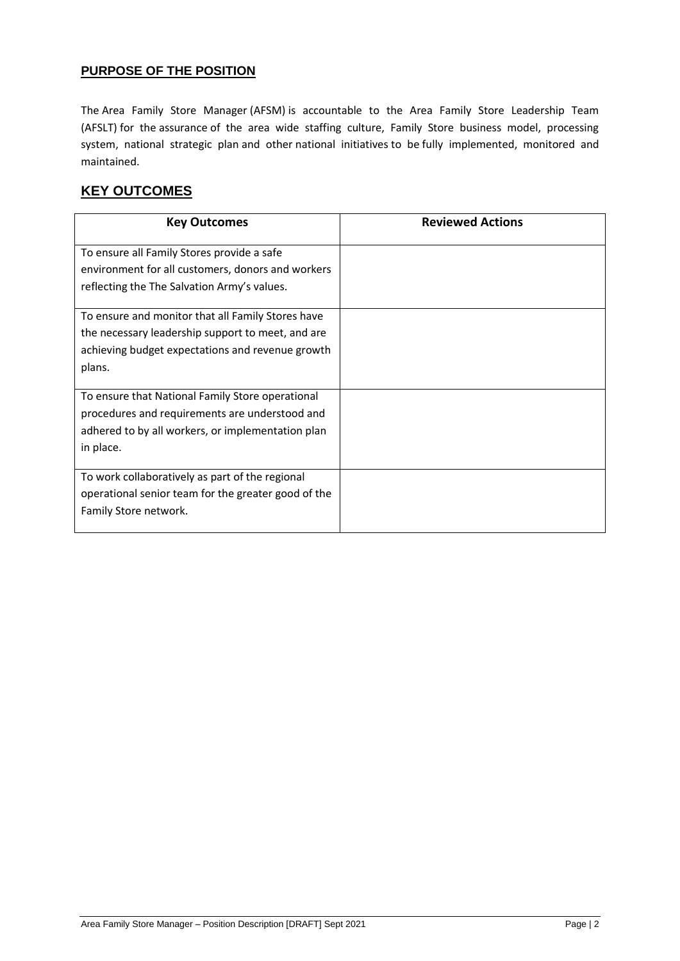#### **PURPOSE OF THE POSITION**

The Area Family Store Manager (AFSM) is accountable to the Area Family Store Leadership Team (AFSLT) for the assurance of the area wide staffing culture, Family Store business model, processing system, national strategic plan and other national initiatives to be fully implemented, monitored and maintained.

## **KEY OUTCOMES**

| <b>Key Outcomes</b>                                 | <b>Reviewed Actions</b> |
|-----------------------------------------------------|-------------------------|
| To ensure all Family Stores provide a safe          |                         |
| environment for all customers, donors and workers   |                         |
| reflecting the The Salvation Army's values.         |                         |
| To ensure and monitor that all Family Stores have   |                         |
| the necessary leadership support to meet, and are   |                         |
| achieving budget expectations and revenue growth    |                         |
| plans.                                              |                         |
| To ensure that National Family Store operational    |                         |
| procedures and requirements are understood and      |                         |
| adhered to by all workers, or implementation plan   |                         |
| in place.                                           |                         |
| To work collaboratively as part of the regional     |                         |
| operational senior team for the greater good of the |                         |
| Family Store network.                               |                         |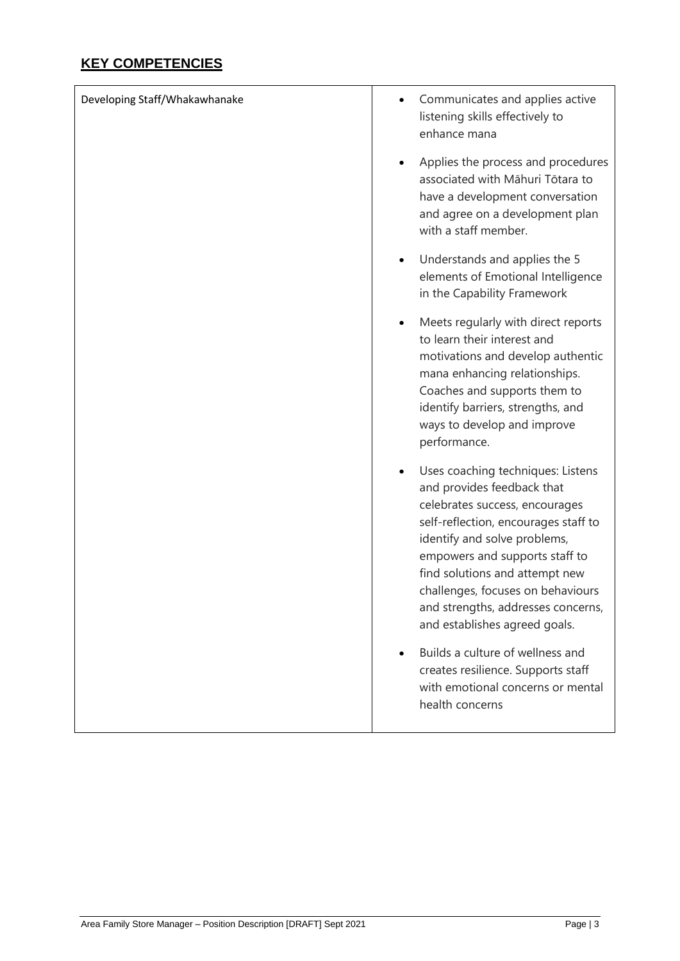## **KEY COMPETENCIES**

| Developing Staff/Whakawhanake | Communicates and applies active<br>listening skills effectively to<br>enhance mana                                                                                                                                                                                                                                                                        |
|-------------------------------|-----------------------------------------------------------------------------------------------------------------------------------------------------------------------------------------------------------------------------------------------------------------------------------------------------------------------------------------------------------|
|                               | Applies the process and procedures<br>associated with Māhuri Tōtara to<br>have a development conversation<br>and agree on a development plan<br>with a staff member.                                                                                                                                                                                      |
|                               | Understands and applies the 5<br>elements of Emotional Intelligence<br>in the Capability Framework                                                                                                                                                                                                                                                        |
|                               | Meets regularly with direct reports<br>$\bullet$<br>to learn their interest and<br>motivations and develop authentic<br>mana enhancing relationships.<br>Coaches and supports them to<br>identify barriers, strengths, and<br>ways to develop and improve<br>performance.                                                                                 |
|                               | Uses coaching techniques: Listens<br>and provides feedback that<br>celebrates success, encourages<br>self-reflection, encourages staff to<br>identify and solve problems,<br>empowers and supports staff to<br>find solutions and attempt new<br>challenges, focuses on behaviours<br>and strengths, addresses concerns,<br>and establishes agreed goals. |
|                               | Builds a culture of wellness and<br>creates resilience. Supports staff<br>with emotional concerns or mental<br>health concerns                                                                                                                                                                                                                            |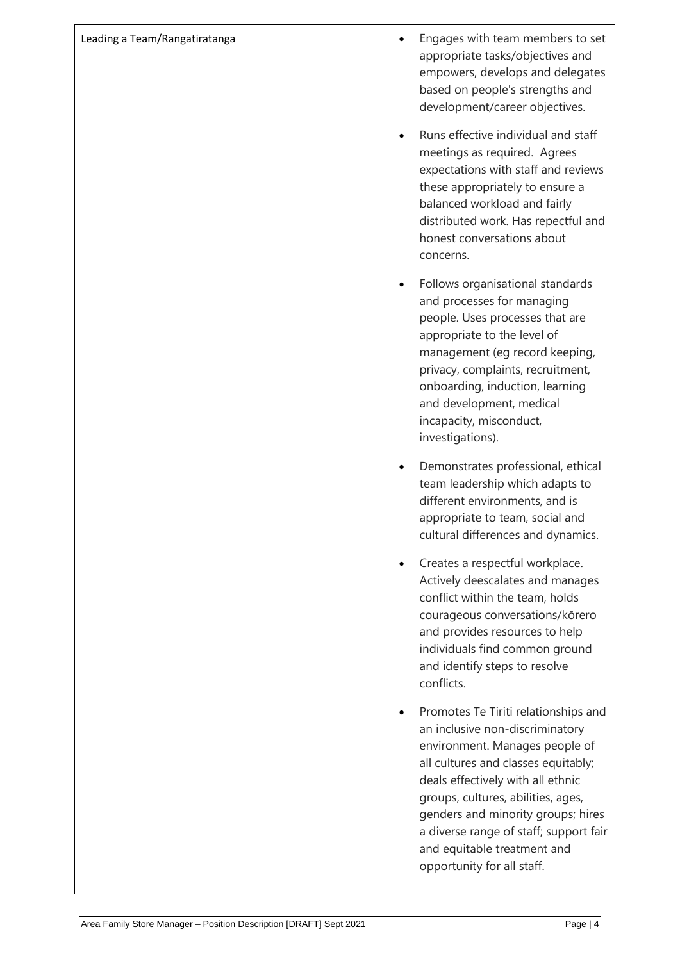| Leading a Team/Rangatiratanga | Engages with team members to set<br>appropriate tasks/objectives and<br>empowers, develops and delegates<br>based on people's strengths and<br>development/career objectives.                                                                                                                                                                                            |
|-------------------------------|--------------------------------------------------------------------------------------------------------------------------------------------------------------------------------------------------------------------------------------------------------------------------------------------------------------------------------------------------------------------------|
|                               | Runs effective individual and staff<br>meetings as required. Agrees<br>expectations with staff and reviews<br>these appropriately to ensure a<br>balanced workload and fairly<br>distributed work. Has repectful and<br>honest conversations about<br>concerns.                                                                                                          |
|                               | Follows organisational standards<br>and processes for managing<br>people. Uses processes that are<br>appropriate to the level of<br>management (eg record keeping,<br>privacy, complaints, recruitment,<br>onboarding, induction, learning<br>and development, medical<br>incapacity, misconduct,<br>investigations).                                                    |
|                               | Demonstrates professional, ethical<br>team leadership which adapts to<br>different environments, and is<br>appropriate to team, social and<br>cultural differences and dynamics.                                                                                                                                                                                         |
|                               | Creates a respectful workplace.<br>Actively deescalates and manages<br>conflict within the team, holds<br>courageous conversations/kōrero<br>and provides resources to help<br>individuals find common ground<br>and identify steps to resolve<br>conflicts.                                                                                                             |
|                               | Promotes Te Tiriti relationships and<br>an inclusive non-discriminatory<br>environment. Manages people of<br>all cultures and classes equitably;<br>deals effectively with all ethnic<br>groups, cultures, abilities, ages,<br>genders and minority groups; hires<br>a diverse range of staff; support fair<br>and equitable treatment and<br>opportunity for all staff. |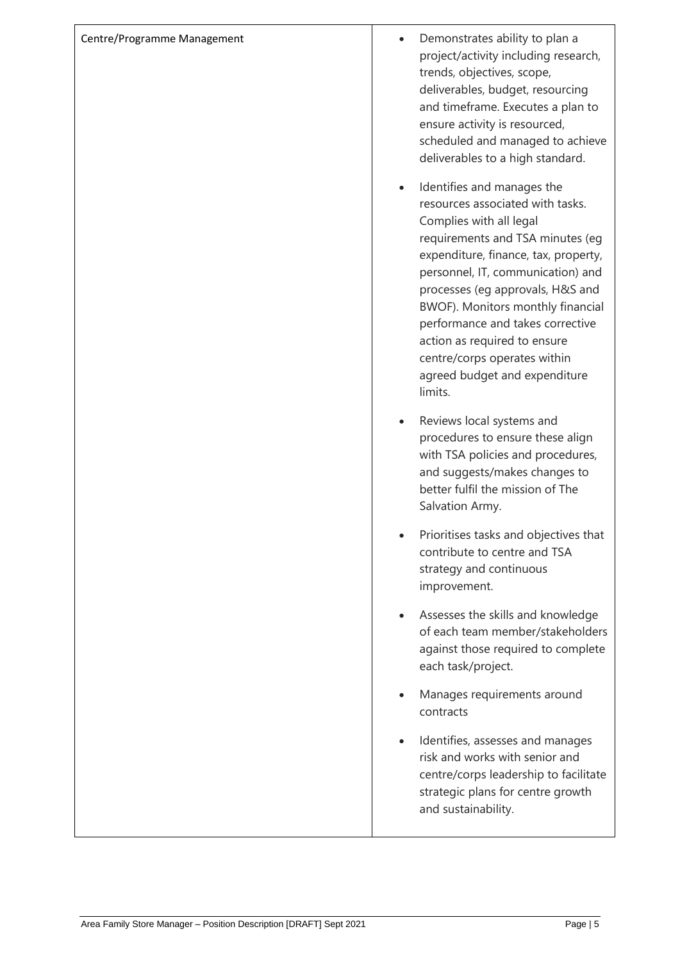| Centre/Programme Management | Demonstrates ability to plan a<br>project/activity including research,<br>trends, objectives, scope,<br>deliverables, budget, resourcing<br>and timeframe. Executes a plan to<br>ensure activity is resourced,<br>scheduled and managed to achieve<br>deliverables to a high standard.                                                                                                                                              |
|-----------------------------|-------------------------------------------------------------------------------------------------------------------------------------------------------------------------------------------------------------------------------------------------------------------------------------------------------------------------------------------------------------------------------------------------------------------------------------|
|                             | Identifies and manages the<br>resources associated with tasks.<br>Complies with all legal<br>requirements and TSA minutes (eg<br>expenditure, finance, tax, property,<br>personnel, IT, communication) and<br>processes (eg approvals, H&S and<br>BWOF). Monitors monthly financial<br>performance and takes corrective<br>action as required to ensure<br>centre/corps operates within<br>agreed budget and expenditure<br>limits. |
|                             | Reviews local systems and<br>procedures to ensure these align<br>with TSA policies and procedures,<br>and suggests/makes changes to<br>better fulfil the mission of The<br>Salvation Army.                                                                                                                                                                                                                                          |
|                             | Prioritises tasks and objectives that<br>contribute to centre and TSA<br>strategy and continuous<br>improvement.                                                                                                                                                                                                                                                                                                                    |
|                             | Assesses the skills and knowledge<br>of each team member/stakeholders<br>against those required to complete<br>each task/project.                                                                                                                                                                                                                                                                                                   |
|                             | Manages requirements around<br>contracts                                                                                                                                                                                                                                                                                                                                                                                            |
|                             | Identifies, assesses and manages<br>risk and works with senior and<br>centre/corps leadership to facilitate<br>strategic plans for centre growth<br>and sustainability.                                                                                                                                                                                                                                                             |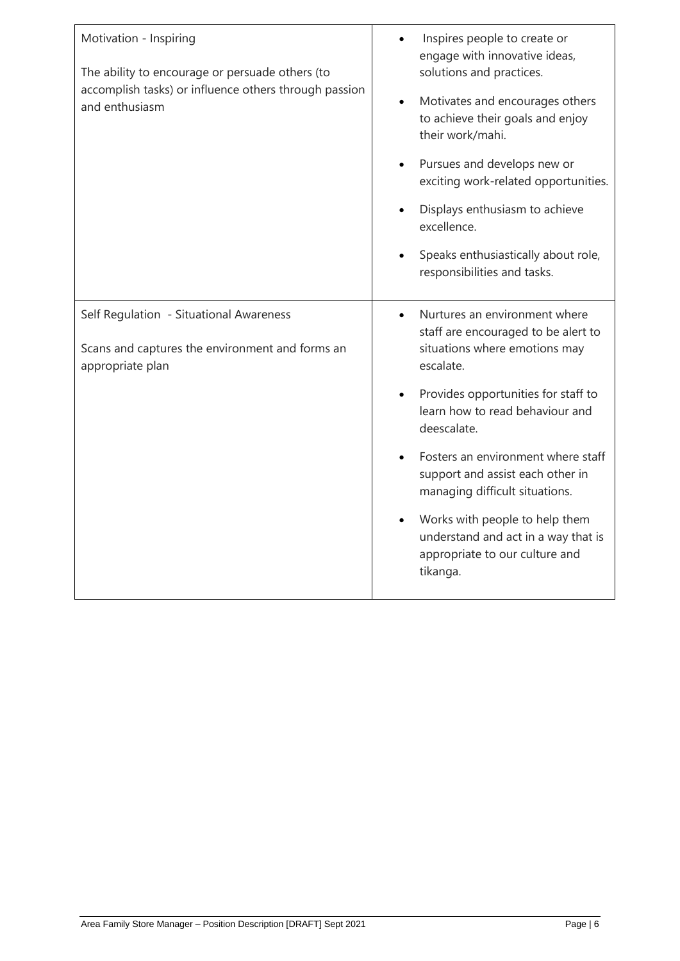| Motivation - Inspiring<br>The ability to encourage or persuade others (to<br>accomplish tasks) or influence others through passion<br>and enthusiasm | Inspires people to create or<br>engage with innovative ideas,<br>solutions and practices.<br>Motivates and encourages others<br>to achieve their goals and enjoy<br>their work/mahi.<br>Pursues and develops new or<br>exciting work-related opportunities.<br>Displays enthusiasm to achieve<br>excellence.<br>Speaks enthusiastically about role,<br>responsibilities and tasks. |
|------------------------------------------------------------------------------------------------------------------------------------------------------|------------------------------------------------------------------------------------------------------------------------------------------------------------------------------------------------------------------------------------------------------------------------------------------------------------------------------------------------------------------------------------|
| Self Regulation - Situational Awareness<br>Scans and captures the environment and forms an<br>appropriate plan                                       | Nurtures an environment where<br>staff are encouraged to be alert to<br>situations where emotions may<br>escalate.<br>Provides opportunities for staff to<br>learn how to read behaviour and<br>deescalate.<br>Fosters an environment where staff<br>support and assist each other in<br>managing difficult situations.                                                            |
|                                                                                                                                                      | Works with people to help them<br>understand and act in a way that is<br>appropriate to our culture and<br>tikanga.                                                                                                                                                                                                                                                                |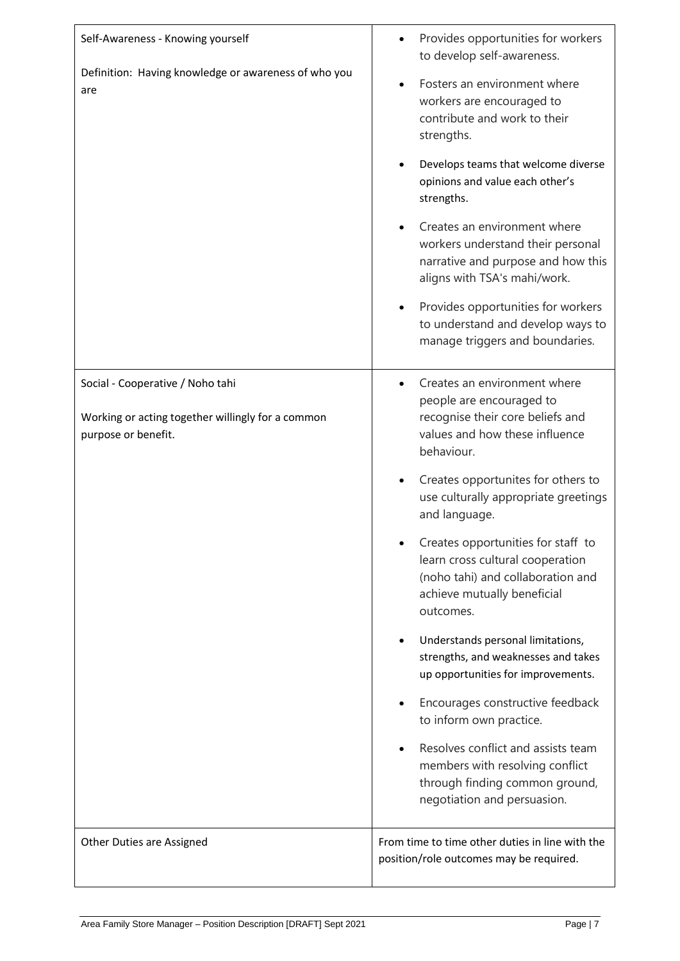| Self-Awareness - Knowing yourself                                                                            | Provides opportunities for workers<br>to develop self-awareness.                                                                                        |
|--------------------------------------------------------------------------------------------------------------|---------------------------------------------------------------------------------------------------------------------------------------------------------|
| Definition: Having knowledge or awareness of who you<br>are                                                  | Fosters an environment where<br>workers are encouraged to<br>contribute and work to their<br>strengths.                                                 |
|                                                                                                              | Develops teams that welcome diverse<br>opinions and value each other's<br>strengths.                                                                    |
|                                                                                                              | Creates an environment where<br>workers understand their personal<br>narrative and purpose and how this<br>aligns with TSA's mahi/work.                 |
|                                                                                                              | Provides opportunities for workers<br>to understand and develop ways to<br>manage triggers and boundaries.                                              |
| Social - Cooperative / Noho tahi<br>Working or acting together willingly for a common<br>purpose or benefit. | Creates an environment where<br>people are encouraged to<br>recognise their core beliefs and<br>values and how these influence<br>behaviour.            |
|                                                                                                              | Creates opportunites for others to<br>use culturally appropriate greetings<br>and language.                                                             |
|                                                                                                              | Creates opportunities for staff to<br>learn cross cultural cooperation<br>(noho tahi) and collaboration and<br>achieve mutually beneficial<br>outcomes. |
|                                                                                                              | Understands personal limitations,<br>strengths, and weaknesses and takes<br>up opportunities for improvements.                                          |
|                                                                                                              | Encourages constructive feedback<br>to inform own practice.                                                                                             |
|                                                                                                              | Resolves conflict and assists team<br>members with resolving conflict<br>through finding common ground,<br>negotiation and persuasion.                  |
| Other Duties are Assigned                                                                                    | From time to time other duties in line with the<br>position/role outcomes may be required.                                                              |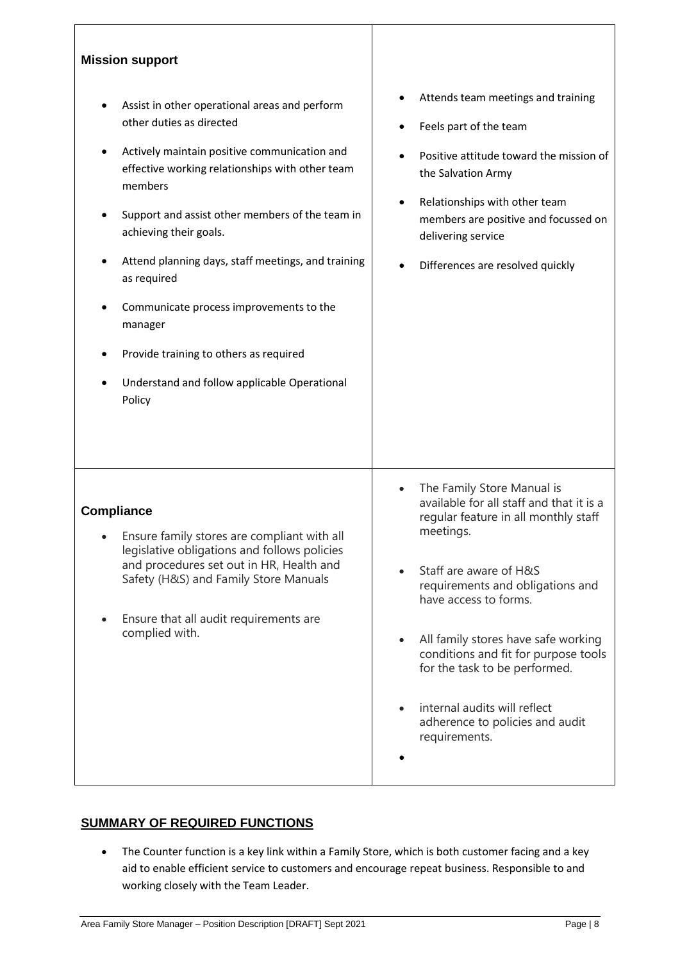| <b>Mission support</b>                                                                                                                                                                                                                                                                                                                                                                                                                                                                              |                                                                                                                                                                                                                                                                                                                                                                                                                                     |
|-----------------------------------------------------------------------------------------------------------------------------------------------------------------------------------------------------------------------------------------------------------------------------------------------------------------------------------------------------------------------------------------------------------------------------------------------------------------------------------------------------|-------------------------------------------------------------------------------------------------------------------------------------------------------------------------------------------------------------------------------------------------------------------------------------------------------------------------------------------------------------------------------------------------------------------------------------|
| Assist in other operational areas and perform<br>other duties as directed<br>Actively maintain positive communication and<br>effective working relationships with other team<br>members<br>Support and assist other members of the team in<br>achieving their goals.<br>Attend planning days, staff meetings, and training<br>as required<br>Communicate process improvements to the<br>manager<br>Provide training to others as required<br>Understand and follow applicable Operational<br>Policy | Attends team meetings and training<br>Feels part of the team<br>Positive attitude toward the mission of<br>the Salvation Army<br>Relationships with other team<br>$\bullet$<br>members are positive and focussed on<br>delivering service<br>Differences are resolved quickly                                                                                                                                                       |
| <b>Compliance</b><br>Ensure family stores are compliant with all<br>legislative obligations and follows policies<br>and procedures set out in HR, Health and<br>Safety (H&S) and Family Store Manuals<br>Ensure that all audit requirements are<br>complied with.                                                                                                                                                                                                                                   | The Family Store Manual is<br>$\bullet$<br>available for all staff and that it is a<br>regular feature in all monthly staff<br>meetings.<br>Staff are aware of H&S<br>requirements and obligations and<br>have access to forms.<br>All family stores have safe working<br>conditions and fit for purpose tools<br>for the task to be performed.<br>internal audits will reflect<br>adherence to policies and audit<br>requirements. |

## **SUMMARY OF REQUIRED FUNCTIONS**

• The Counter function is a key link within a Family Store, which is both customer facing and a key aid to enable efficient service to customers and encourage repeat business. Responsible to and working closely with the Team Leader.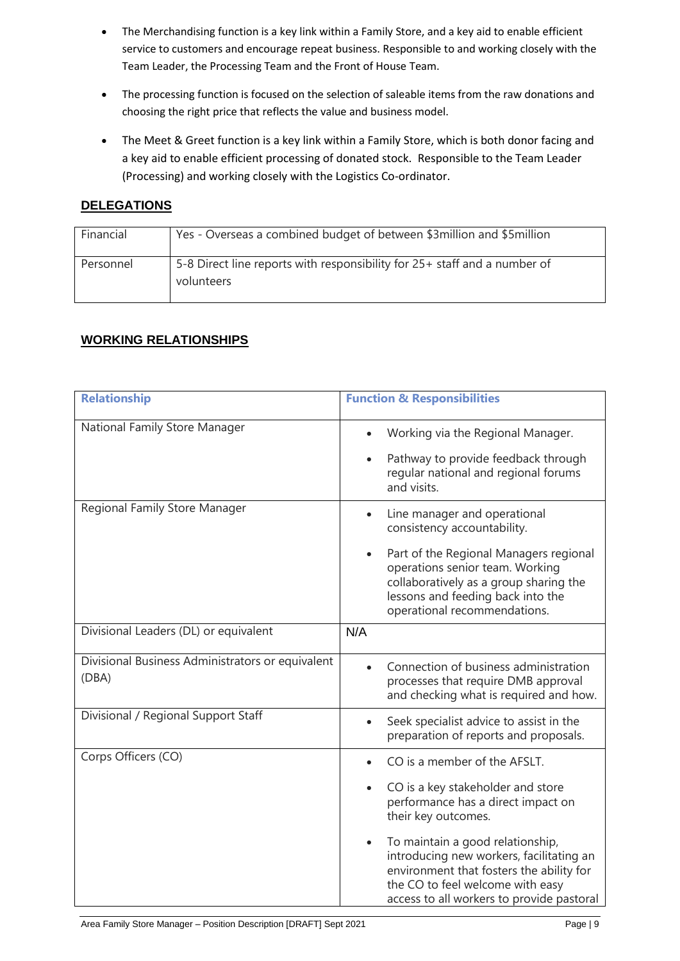- The Merchandising function is a key link within a Family Store, and a key aid to enable efficient service to customers and encourage repeat business. Responsible to and working closely with the Team Leader, the Processing Team and the Front of House Team.
- The processing function is focused on the selection of saleable items from the raw donations and choosing the right price that reflects the value and business model.
- The Meet & Greet function is a key link within a Family Store, which is both donor facing and a key aid to enable efficient processing of donated stock. Responsible to the Team Leader (Processing) and working closely with the Logistics Co-ordinator.

### **DELEGATIONS**

| Financial | Yes - Overseas a combined budget of between \$3 million and \$5 million                 |
|-----------|-----------------------------------------------------------------------------------------|
| Personnel | 5-8 Direct line reports with responsibility for 25+ staff and a number of<br>volunteers |

## **WORKING RELATIONSHIPS**

| <b>Relationship</b>                                       | <b>Function &amp; Responsibilities</b>                                                                                                                                                                                 |
|-----------------------------------------------------------|------------------------------------------------------------------------------------------------------------------------------------------------------------------------------------------------------------------------|
|                                                           |                                                                                                                                                                                                                        |
| National Family Store Manager                             | Working via the Regional Manager.<br>$\bullet$                                                                                                                                                                         |
|                                                           | Pathway to provide feedback through<br>$\bullet$<br>regular national and regional forums<br>and visits.                                                                                                                |
| Regional Family Store Manager                             | Line manager and operational<br>$\bullet$<br>consistency accountability.                                                                                                                                               |
|                                                           | Part of the Regional Managers regional<br>$\bullet$<br>operations senior team. Working<br>collaboratively as a group sharing the<br>lessons and feeding back into the<br>operational recommendations.                  |
| Divisional Leaders (DL) or equivalent                     | N/A                                                                                                                                                                                                                    |
| Divisional Business Administrators or equivalent<br>(DBA) | Connection of business administration<br>$\bullet$<br>processes that require DMB approval<br>and checking what is required and how.                                                                                    |
| Divisional / Regional Support Staff                       | Seek specialist advice to assist in the<br>$\bullet$<br>preparation of reports and proposals.                                                                                                                          |
| Corps Officers (CO)                                       | CO is a member of the AFSLT.                                                                                                                                                                                           |
|                                                           | CO is a key stakeholder and store<br>performance has a direct impact on<br>their key outcomes.                                                                                                                         |
|                                                           | To maintain a good relationship,<br>$\bullet$<br>introducing new workers, facilitating an<br>environment that fosters the ability for<br>the CO to feel welcome with easy<br>access to all workers to provide pastoral |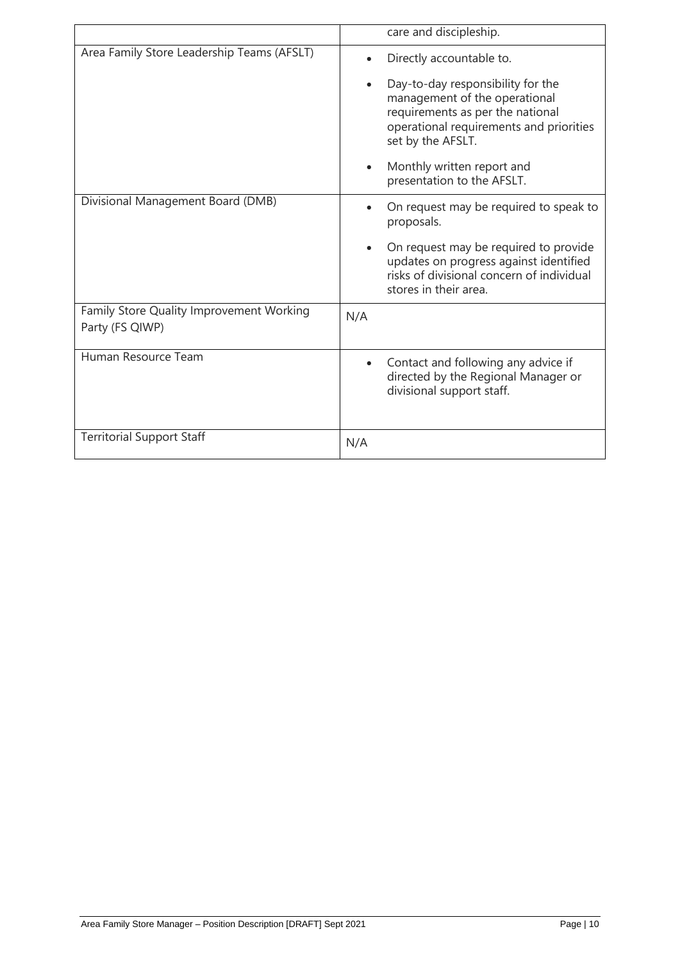|                                                             | care and discipleship.                                                                                                                                                              |
|-------------------------------------------------------------|-------------------------------------------------------------------------------------------------------------------------------------------------------------------------------------|
| Area Family Store Leadership Teams (AFSLT)                  | Directly accountable to.                                                                                                                                                            |
|                                                             | Day-to-day responsibility for the<br>$\bullet$<br>management of the operational<br>requirements as per the national<br>operational requirements and priorities<br>set by the AFSLT. |
|                                                             | Monthly written report and<br>$\bullet$<br>presentation to the AFSLT.                                                                                                               |
| Divisional Management Board (DMB)                           | On request may be required to speak to<br>proposals.                                                                                                                                |
|                                                             | On request may be required to provide<br>$\bullet$<br>updates on progress against identified<br>risks of divisional concern of individual<br>stores in their area.                  |
| Family Store Quality Improvement Working<br>Party (FS QIWP) | N/A                                                                                                                                                                                 |
| Human Resource Team                                         | Contact and following any advice if<br>$\bullet$<br>directed by the Regional Manager or<br>divisional support staff.                                                                |
| <b>Territorial Support Staff</b>                            | N/A                                                                                                                                                                                 |